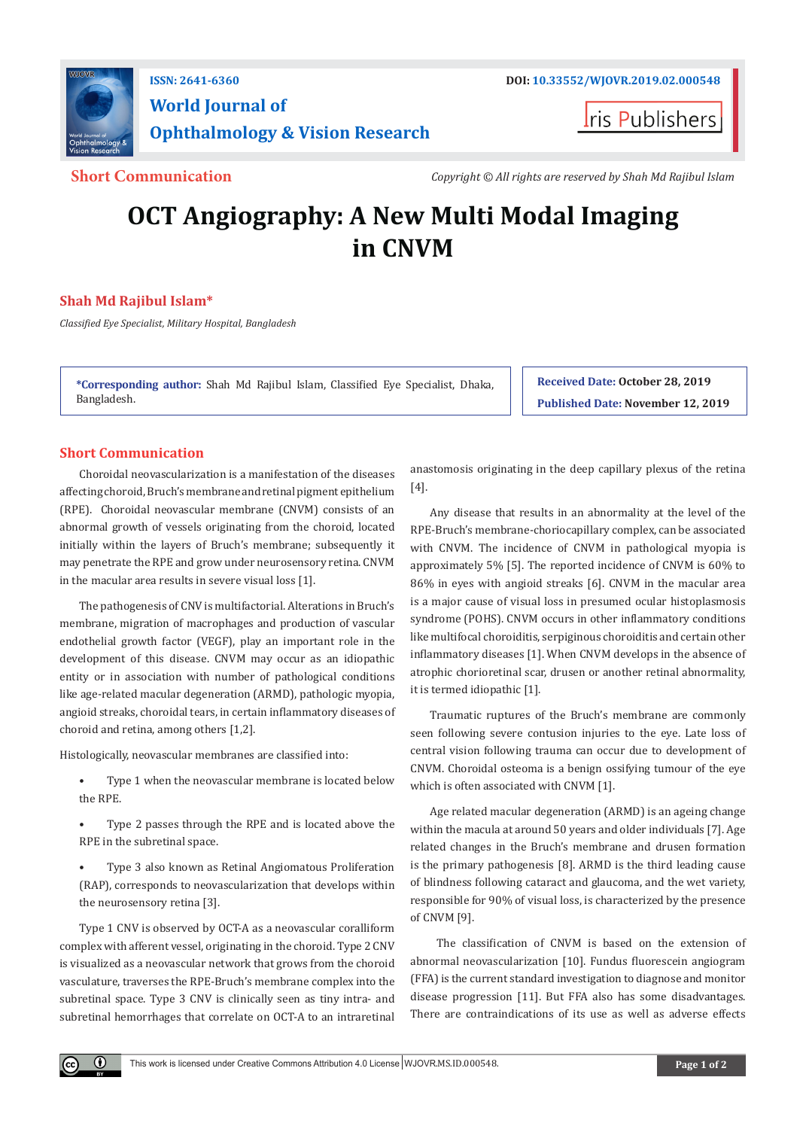

# **World Journal of Ophthalmology & Vision Research**

**Iris Publishers** 

**Short Communication** *Copyright © All rights are reserved by Shah Md Rajibul Islam*

# **OCT Angiography: A New Multi Modal Imaging in CNVM**

## **Shah Md Rajibul Islam\***

*Classified Eye Specialist, Military Hospital, Bangladesh*

**\*Corresponding author:** Shah Md Rajibul Islam, Classified Eye Specialist, Dhaka, Bangladesh.

**Received Date: October 28, 2019 Published Date: November 12, 2019**

# **Short Communication**

Choroidal neovascularization is a manifestation of the diseases affecting choroid, Bruch's membrane and retinal pigment epithelium (RPE). Choroidal neovascular membrane (CNVM) consists of an abnormal growth of vessels originating from the choroid, located initially within the layers of Bruch's membrane; subsequently it may penetrate the RPE and grow under neurosensory retina. CNVM in the macular area results in severe visual loss [1].

The pathogenesis of CNV is multifactorial. Alterations in Bruch's membrane, migration of macrophages and production of vascular endothelial growth factor (VEGF), play an important role in the development of this disease. CNVM may occur as an idiopathic entity or in association with number of pathological conditions like age-related macular degeneration (ARMD), pathologic myopia, angioid streaks, choroidal tears, in certain inflammatory diseases of choroid and retina, among others [1,2].

Histologically, neovascular membranes are classified into:

- Type 1 when the neovascular membrane is located below the RPE.
- Type 2 passes through the RPE and is located above the RPE in the subretinal space.
- Type 3 also known as Retinal Angiomatous Proliferation (RAP), corresponds to neovascularization that develops within the neurosensory retina [3].

Type 1 CNV is observed by OCT-A as a neovascular coralliform complex with afferent vessel, originating in the choroid. Type 2 CNV is visualized as a neovascular network that grows from the choroid vasculature, traverses the RPE-Bruch's membrane complex into the subretinal space. Type 3 CNV is clinically seen as tiny intra- and subretinal hemorrhages that correlate on OCT-A to an intraretinal

 $\odot$ 

anastomosis originating in the deep capillary plexus of the retina [4].

Any disease that results in an abnormality at the level of the RPE-Bruch's membrane-choriocapillary complex, can be associated with CNVM. The incidence of CNVM in pathological myopia is approximately 5% [5]. The reported incidence of CNVM is 60% to 86% in eyes with angioid streaks [6]. CNVM in the macular area is a major cause of visual loss in presumed ocular histoplasmosis syndrome (POHS). CNVM occurs in other inflammatory conditions like multifocal choroiditis, serpiginous choroiditis and certain other inflammatory diseases [1]. When CNVM develops in the absence of atrophic chorioretinal scar, drusen or another retinal abnormality, it is termed idiopathic [1].

Traumatic ruptures of the Bruch's membrane are commonly seen following severe contusion injuries to the eye. Late loss of central vision following trauma can occur due to development of CNVM. Choroidal osteoma is a benign ossifying tumour of the eye which is often associated with CNVM [1].

Age related macular degeneration (ARMD) is an ageing change within the macula at around 50 years and older individuals [7]. Age related changes in the Bruch's membrane and drusen formation is the primary pathogenesis [8]. ARMD is the third leading cause of blindness following cataract and glaucoma, and the wet variety, responsible for 90% of visual loss, is characterized by the presence of CNVM [9].

 The classification of CNVM is based on the extension of abnormal neovascularization [10]. Fundus fluorescein angiogram (FFA) is the current standard investigation to diagnose and monitor disease progression [11]. But FFA also has some disadvantages. There are contraindications of its use as well as adverse effects